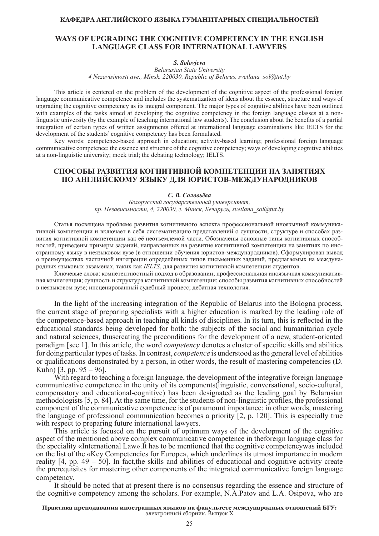# **КАФЕДРА АНГЛИЙСКОГО ЯЗЫКА ГУМАНИТАРНЫХ СПЕЦИАЛЬНОСТЕЙ**

# **WAYS OF UPGRADING THE COGNITIVE COMPETENCY IN THE ENGLISH LANGUAGE CLASS FOR INTERNATIONAL LAWYERS**

### *S. Solovjeva*

*Belarusian State University 4 Nezavisimosti ave., Minsk, 220030, Republic of Belarus, svetlana\_sol@tut.by*

This article is centered on the problem of the development of the cognitive aspect of the professional foreign language communicative competence and includes the systematization of ideas about the essence, structure and ways of upgrading the cognitive competency as its integral component. The major types of cognitive abilities have been outlined with examples of the tasks aimed at developing the cognitive competency in the foreign language classes at a nonlinguistic university (by the example of teaching international law students). The conclusion about the benefits of a partial integration of certain types of written assignments offered at international language examinations like IELTS for the development of the students' cognitive competency has been formulated.

Key words: competence-based approach in education; activity-based learning; professional foreign language communicative competence; the essence and structure of the cognitive competency; ways of developing cognitive abilities at a non-linguistic university; mock trial; the debating technology; IELTS.

# **СПОСОБЫ РАЗВИТИЯ КОГНИТИВНОЙ КОМПЕТЕНЦИИ НА ЗАНЯТИЯХ ПО АНГЛИЙСКОМУ ЯЗЫКУ ДЛЯ ЮРИСТОВ-МЕЖДУНАРОДНИКОВ**

#### *С. В. Соловьёва*

*Белорусский государственный университет, пр. Независимости, 4, 220030, г. Минск, Беларусь, svetlana\_sol@tut.by*

Статья посвящена проблеме развития когнитивного аспекта профессиональной иноязычной коммуникативной компетенции и включает в себя систематизацию представлений о сущности, структуре и способах развития когнитивной компетенции как её неотъемлемой части. Обозначены основные типы когнитивных способностей, приведены примеры заданий, направленных на развитие когнитивной компетенции на занятиях по иностранному языку в неязыковом вузе (в отношении обучения юристов-международников). Сформулирован вывод о преимуществах частичной интеграции определённых типов письменных заданий, предлагаемых на международных языковых экзаменах, таких как *IELTS*, для развития когнитивной компетенции студентов.

Ключевые слова: компетентностный подход в образовании; профессиональная иноязычная коммуникативная компетенция; сущность и структура когнитивной компетенции; способы развития когнитивных способностей в неязыковом вузе; инсценированный судебный процесс; дебатная технология.

In the light of the increasing integration of the Republic of Belarus into the Bologna process, the current stage of preparing specialists with a higher education is marked by the leading role of the competence-based approach in teaching all kinds of disciplines. In its turn, this is reflected in the educational standards being developed for both: the subjects of the social and humanitarian cycle and natural sciences, thuscreating the preconditions for the development of a new, student-oriented paradigm [see 1]. In this article, the word *competency* denotes a cluster of specific skills and abilities for doing particular types of tasks. In contrast, *competence* is understood as the general level of abilities or qualifications demonstrated by a person, in other words, the result of mastering competencies (D. Kuhn) [3, pp. 95 – 96].

With regard to teaching a foreign language, the development of the integrative foreign language communicative competence in the unity of its components(linguistic, conversational, socio-cultural, compensatory and educational-cognitive) has been designated as the leading goal by Belarusian methodologists [5, p. 84]. At the same time, for the students of non-linguistic profiles, the professional component of the communicative competence is of paramount importance: in other words, mastering the language of professional communication becomes a priority [2, p. 120]. This is especially true with respect to preparing future international lawyers.

This article is focused on the pursuit of optimum ways of the development of the cognitive aspect of the mentioned above complex communicative competence in theforeign language class for the speciality «International Law».It has to be mentioned that the cognitive competencywas included on the list of the «Key Competencies for Europe», which underlines its utmost importance in modern reality [4, pp. 49 – 50]. In fact,the skills and abilities of educational and cognitive activity create the prerequisites for mastering other components of the integrated communicative foreign language competency.

It should be noted that at present there is no consensus regarding the essence and structure of the cognitive competency among the scholars. For example, N.A.Patov and L.A. Osipova, who are

#### **Практика преподавания иностранных языков на факультете международных отношений БГУ:** электронный сборник. Выпуск X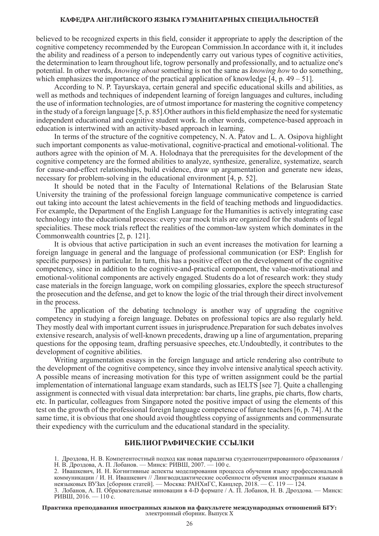### **КАФЕДРА АНГЛИЙСКОГО ЯЗЫКА ГУМАНИТАРНЫХ СПЕЦИАЛЬНОСТЕЙ**

believed to be recognized experts in this field, consider it appropriate to apply the description of the cognitive competency recommended by the European Commission.In accordance with it, it includes the ability and readiness of a person to independently carry out various types of cognitive activities, the determination to learn throughout life, togrow personally and professionally, and to actualize one's potential. In other words, *knowing about* something is not the same as *knowing how* to do something, which emphasizes the importance of the practical application of knowledge  $[4, p. 49 - 51]$ .

According to N. P. Tayurskaya, certain general and specific educational skills and abilities, as well as methods and techniques of independent learning of foreign languages and cultures, including the use of information technologies, are of utmost importance for mastering the cognitive competency in the study of a foreign language [5, p. 85].Other authors in this field emphasize the need for systematic independent educational and cognitive student work. In other words, competence-based approach in education is intertwined with an activity-based approach in learning.

In terms of the structure of the cognitive competency, N. A. Patov and L. A. Osipova highlight such important components as value-motivational, cognitive-practical and emotional-volitional. The authors agree with the opinion of M. A. Holodnaya that the prerequisites for the development of the cognitive competency are the formed abilities to analyze, synthesize, generalize, systematize, search for cause-and-effect relationships, build evidence, draw up argumentation and generate new ideas, necessary for problem-solving in the educational environment [4, p. 52].

It should be noted that in the Faculty of International Relations of the Belarusian State University the training of the professional foreign language communicative competence is carried out taking into account the latest achievements in the field of teaching methods and linguodidactics. For example, the Department of the English Language for the Humanities is actively integrating case technology into the educational process: every year mock trials are organized for the students of legal specialities. These mock trials reflect the realities of the common-law system which dominates in the Commonwealth countries [2, p. 121].

It is obvious that active participation in such an event increases the motivation for learning a foreign language in general and the language of professional communication (or ESP: English for specific purposes) in particular. In turn, this has a positive effect on the development of the cognitive competency, since in addition to the cognitive-and-practical component, the value-motivational and emotional-volitional components are actively engaged. Students do a lot of research work: they study case materials in the foreign language, work on compiling glossaries, explore the speech structuresof the prosecution and the defense, and get to know the logic of the trial through their direct involvement in the process.

The application of the debating technology is another way of upgrading the cognitive competency in studying a foreign language. Debates on professional topics are also regularly held. They mostly deal with important current issues in jurisprudence.Preparation for such debates involves extensive research, analysis of well-known precedents, drawing up a line of argumentation, preparing questions for the opposing team, drafting persuasive speeches, etc.Undoubtedly, it contributes to the development of cognitive abilities.

Writing argumentation essays in the foreign language and article rendering also contribute to the development of the cognitive competency, since they involve intensive analytical speech activity. A possible means of increasing motivation for this type of written assignment could be the partial implementation of international language exam standards, such as IELTS [see 7]. Quite a challenging assignment is connected with visual data interpretation: bar charts, line graphs, pie charts, flow charts, etc. In particular, colleagues from Singapore noted the positive impact of using the elements of this test on the growth of the professional foreign language competence of future teachers [6, p. 74]. At the same time, it is obvious that one should avoid thoughtless copying of assignments and commensurate their expediency with the curriculum and the educational standard in the speciality.

# **БИБЛИОГРАФИЧЕСКИЕ ССЫЛКИ**

1. Дроздова, Н. В. Компетентостный подход как новая парадигма студентоцентрированного образования / Н. В. Дроздова, А. П. Лобанов. — Минск: РИВШ, 2007. — 100 с.

2. Ивашкевич, И. Н. Когнитивные аспекты моделирования процесса обучения языку профессиональной коммуникации / И. Н. Ивашкевич // Лингводидактические особенности обучения иностранным языкам в неязыковых ВУЗах [сборник статей]. — Москва: РАНХиГС, Канцлер, 2018. — С. 119 — 124.

3. Лобанов, А. П. Образовательные инновации в 4-D формате / А. П. Лобанов, Н. В. Дроздова. — Минск: РИВШ, 2016. — 110 с.